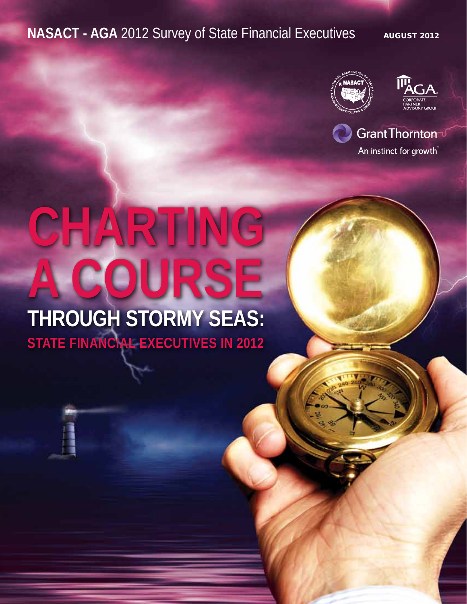### **NASACT - AGA** 2012 Survey of State Financial Executives August 2012





Grant Thornton<sup>-</sup>

An instinct for growth

# **CHARTING a Course Through Stormy Seas: STATE FINANCIAL EXECUTIVES IN 2012**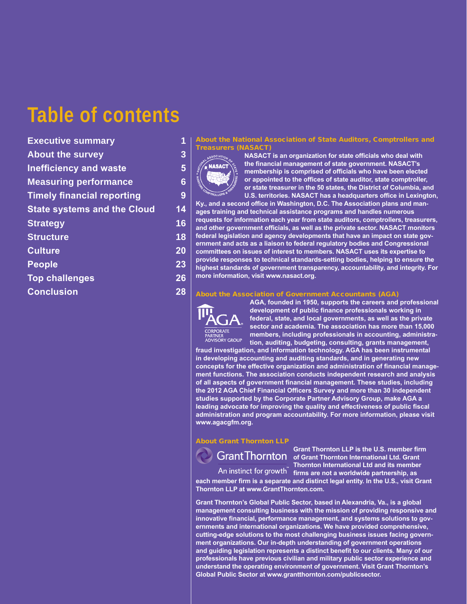### **Table of contents**

**Executive summary 1 About the survey 3 Inefficiency and waste 5 Measuring performance 6 Timely financial reporting 9 State systems and the Cloud 14 Strategy 16 Structure 18 Culture 20 People 23 Top challenges 26 Conclusion 28**

#### About the National Association of State Auditors, Comptrollers and **Treasurers (NASAC)**



**NASACT is an organization for state officials who deal with the financial management of state government. NASACT's membership is comprised of officials who have been elected or appointed to the offices of state auditor, state comptroller, or state treasurer in the 50 states, the District of Columbia, and U.S. territories. NASACT has a headquarters office in Lexington,** 

**Ky., and a second office in Washington, D.C. The Association plans and manages training and technical assistance programs and handles numerous requests for information each year from state auditors, comptrollers, treasurers, and other government officials, as well as the private sector. NASACT monitors federal legislation and agency developments that have an impact on state government and acts as a liaison to federal regulatory bodies and Congressional committees on issues of interest to members. NASACT uses its expertise to provide responses to technical standards-setting bodies, helping to ensure the highest standards of government transparency, accountability, and integrity. For more information, visit www.nasact.org.**

#### About the Association of Government Accountants (AGA)



**AGA, founded in 1950, supports the careers and professional development of public finance professionals working in federal, state, and local governments, as well as the private sector and academia. The association has more than 15,000 members, including professionals in accounting, administration, auditing, budgeting, consulting, grants management,** 

**fraud investigation, and information technology. AGA has been instrumental in developing accounting and auditing standards, and in generating new concepts for the effective organization and administration of financial management functions. The association conducts independent research and analysis of all aspects of government financial management. These studies, including the 2012 AGA Chief Financial Officers Survey and more than 30 independent studies supported by the Corporate Partner Advisory Group, make AGA a leading advocate for improving the quality and effectiveness of public fiscal administration and program accountability. For more information, please visit www.agacgfm.org.**

#### About Grant Thornton LLP

**Grant Thornton LLP is the U.S. member firm OF GRANT THORNE OF GRANT THORNET IS A GRAND CONGRANT OF GRAND OF GRAND OF GRAND CF CONGRAND CF CONGRAND CF CONGRAND CF CONGRAND CF CONGRAND CF CONGRAND CF CONGRAND CF CONGRAND CONGRAND Thornton International Ltd and its member**  An instinct for growth **firms are not a worldwide partnership**, as

**each member firm is a separate and distinct legal entity. In the U.S., visit Grant Thornton LLP at www.GrantThornton.com.**

**Grant Thornton's Global Public Sector, based in Alexandria, Va., is a global management consulting business with the mission of providing responsive and innovative financial, performance management, and systems solutions to governments and international organizations. We have provided comprehensive, cutting-edge solutions to the most challenging business issues facing government organizations. Our in-depth understanding of government operations and guiding legislation represents a distinct benefit to our clients. Many of our professionals have previous civilian and military public sector experience and understand the operating environment of government. Visit Grant Thornton's Global Public Sector at www.grantthornton.com/publicsector.**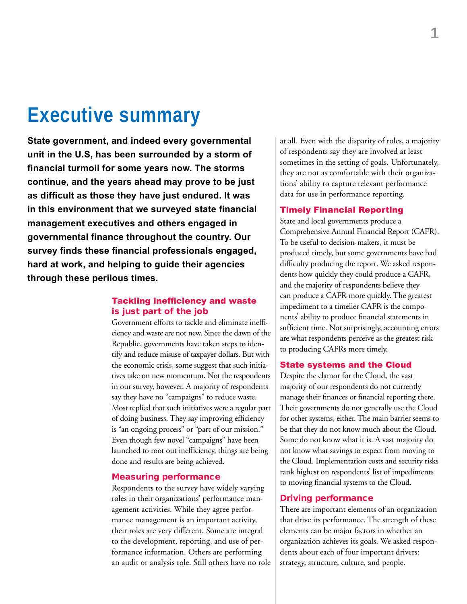### **Executive summary**

**State government, and indeed every governmental unit in the U.S, has been surrounded by a storm of financial turmoil for some years now. The storms continue, and the years ahead may prove to be just as difficult as those they have just endured. It was in this environment that we surveyed state financial management executives and others engaged in governmental finance throughout the country. Our survey finds these financial professionals engaged, hard at work, and helping to guide their agencies through these perilous times.**

### Tackling inefficiency and waste is just part of the job

Government efforts to tackle and eliminate inefficiency and waste are not new. Since the dawn of the Republic, governments have taken steps to identify and reduce misuse of taxpayer dollars. But with the economic crisis, some suggest that such initiatives take on new momentum. Not the respondents in our survey, however. A majority of respondents say they have no "campaigns" to reduce waste. Most replied that such initiatives were a regular part of doing business. They say improving efficiency is "an ongoing process" or "part of our mission." Even though few novel "campaigns" have been launched to root out inefficiency, things are being done and results are being achieved.

#### Measuring performance

Respondents to the survey have widely varying roles in their organizations' performance management activities. While they agree performance management is an important activity, their roles are very different. Some are integral to the development, reporting, and use of performance information. Others are performing an audit or analysis role. Still others have no role at all. Even with the disparity of roles, a majority of respondents say they are involved at least sometimes in the setting of goals. Unfortunately, they are not as comfortable with their organizations' ability to capture relevant performance data for use in performance reporting.

### Timely Financial Reporting

State and local governments produce a Comprehensive Annual Financial Report (CAFR). To be useful to decision-makers, it must be produced timely, but some governments have had difficulty producing the report. We asked respondents how quickly they could produce a CAFR, and the majority of respondents believe they can produce a CAFR more quickly. The greatest impediment to a timelier CAFR is the components' ability to produce financial statements in sufficient time. Not surprisingly, accounting errors are what respondents perceive as the greatest risk to producing CAFRs more timely.

### State systems and the Cloud

Despite the clamor for the Cloud, the vast majority of our respondents do not currently manage their finances or financial reporting there. Their governments do not generally use the Cloud for other systems, either. The main barrier seems to be that they do not know much about the Cloud. Some do not know what it is. A vast majority do not know what savings to expect from moving to the Cloud. Implementation costs and security risks rank highest on respondents' list of impediments to moving financial systems to the Cloud.

#### Driving performance

There are important elements of an organization that drive its performance. The strength of these elements can be major factors in whether an organization achieves its goals. We asked respondents about each of four important drivers: strategy, structure, culture, and people.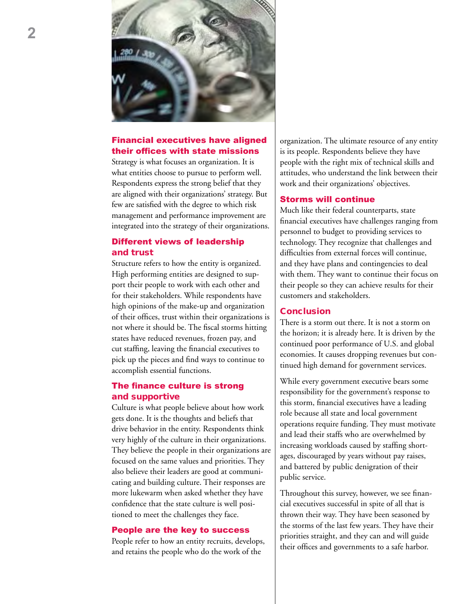

### Financial executives have aligned their offices with state missions

Strategy is what focuses an organization. It is what entities choose to pursue to perform well. Respondents express the strong belief that they are aligned with their organizations' strategy. But few are satisfied with the degree to which risk management and performance improvement are integrated into the strategy of their organizations.

### Different views of leadership and trust

Structure refers to how the entity is organized. High performing entities are designed to support their people to work with each other and for their stakeholders. While respondents have high opinions of the make-up and organization of their offices, trust within their organizations is not where it should be. The fiscal storms hitting states have reduced revenues, frozen pay, and cut staffing, leaving the financial executives to pick up the pieces and find ways to continue to accomplish essential functions.

### The finance culture is strong and supportive

Culture is what people believe about how work gets done. It is the thoughts and beliefs that drive behavior in the entity. Respondents think very highly of the culture in their organizations. They believe the people in their organizations are focused on the same values and priorities. They also believe their leaders are good at communicating and building culture. Their responses are more lukewarm when asked whether they have confidence that the state culture is well positioned to meet the challenges they face.

### People are the key to success

People refer to how an entity recruits, develops, and retains the people who do the work of the

organization. The ultimate resource of any entity is its people. Respondents believe they have people with the right mix of technical skills and attitudes, who understand the link between their work and their organizations' objectives.

### Storms will continue

Much like their federal counterparts, state financial executives have challenges ranging from personnel to budget to providing services to technology. They recognize that challenges and difficulties from external forces will continue, and they have plans and contingencies to deal with them. They want to continue their focus on their people so they can achieve results for their customers and stakeholders.

### **Conclusion**

There is a storm out there. It is not a storm on the horizon; it is already here. It is driven by the continued poor performance of U.S. and global economies. It causes dropping revenues but continued high demand for government services.

While every government executive bears some responsibility for the government's response to this storm, financial executives have a leading role because all state and local government operations require funding. They must motivate and lead their staffs who are overwhelmed by increasing workloads caused by staffing shortages, discouraged by years without pay raises, and battered by public denigration of their public service.

Throughout this survey, however, we see financial executives successful in spite of all that is thrown their way. They have been seasoned by the storms of the last few years. They have their priorities straight, and they can and will guide their offices and governments to a safe harbor.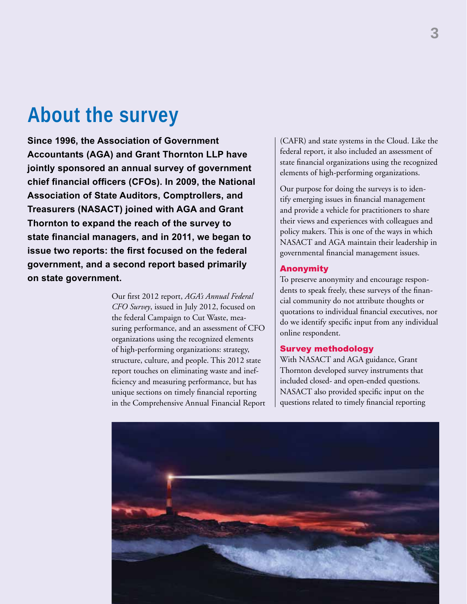### **About the survey**

**Since 1996, the Association of Government Accountants (AGA) and Grant Thornton LLP have jointly sponsored an annual survey of government chief financial officers (CFOs). In 2009, the National Association of State Auditors, Comptrollers, and Treasurers (NASACT) joined with AGA and Grant Thornton to expand the reach of the survey to state financial managers, and in 2011, we began to issue two reports: the first focused on the federal government, and a second report based primarily on state government.** 

> Our first 2012 report, *AGA's Annual Federal CFO Survey*, issued in July 2012, focused on the federal Campaign to Cut Waste, measuring performance, and an assessment of CFO organizations using the recognized elements of high-performing organizations: strategy, structure, culture, and people. This 2012 state report touches on eliminating waste and inefficiency and measuring performance, but has unique sections on timely financial reporting in the Comprehensive Annual Financial Report

(CAFR) and state systems in the Cloud. Like the federal report, it also included an assessment of state financial organizations using the recognized elements of high-performing organizations.

Our purpose for doing the surveys is to identify emerging issues in financial management and provide a vehicle for practitioners to share their views and experiences with colleagues and policy makers. This is one of the ways in which NASACT and AGA maintain their leadership in governmental financial management issues.

### Anonymity

To preserve anonymity and encourage respondents to speak freely, these surveys of the financial community do not attribute thoughts or quotations to individual financial executives, nor do we identify specific input from any individual online respondent.

### Survey methodology

With NASACT and AGA guidance, Grant Thornton developed survey instruments that included closed- and open-ended questions. NASACT also provided specific input on the questions related to timely financial reporting

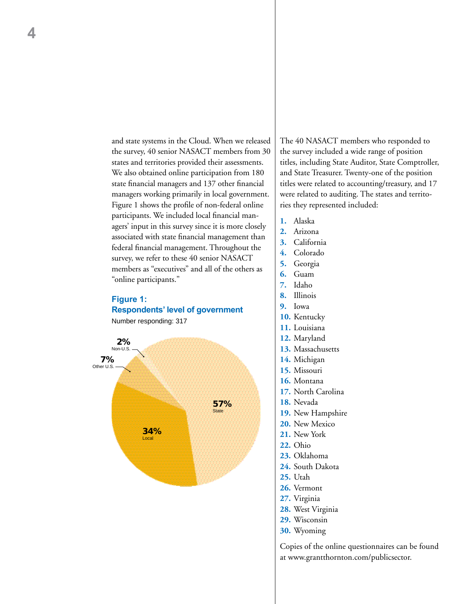and state systems in the Cloud. When we released the survey, 40 senior NASACT members from 30 states and territories provided their assessments. We also obtained online participation from 180 state financial managers and 137 other financial managers working primarily in local government. Figure 1 shows the profile of non-federal online participants. We included local financial managers' input in this survey since it is more closely associated with state financial management than federal financial management. Throughout the survey, we refer to these 40 senior NASACT members as "executives" and all of the others as "online participants."

### **Figure 1: Respondents' level of government**





The 40 NASACT members who responded to the survey included a wide range of position titles, including State Auditor, State Comptroller, and State Treasurer. Twenty-one of the position titles were related to accounting/treasury, and 17 were related to auditing. The states and territories they represented included:

- **1.** Alaska
- **2.** Arizona
- **3.** California
- **4.** Colorado
- **5.** Georgia
- **6.** Guam
- **7.** Idaho
- **8.** Illinois
- **9.** Iowa
- **10.** Kentucky
- **11.** Louisiana
- **12.** Maryland
- **13.** Massachusetts
- **14.** Michigan **15.** Missouri
- **16.** Montana
- **17.** North Carolina
- **18.** Nevada
- **19.** New Hampshire
- **20.** New Mexico
- **21.** New York
- **22.** Ohio
- **23.** Oklahoma
- **24.** South Dakota
- **25.** Utah
- **26.** Vermont
- **27.** Virginia
- **28.** West Virginia
- **29.** Wisconsin
- **30.** Wyoming

Copies of the online questionnaires can be found at www.grantthornton.com/publicsector.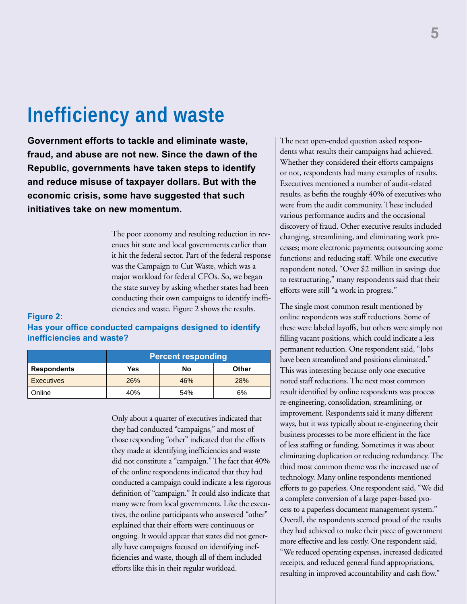### **Inefficiency and waste**

**Government efforts to tackle and eliminate waste, fraud, and abuse are not new. Since the dawn of the Republic, governments have taken steps to identify and reduce misuse of taxpayer dollars. But with the economic crisis, some have suggested that such initiatives take on new momentum.** 

> The poor economy and resulting reduction in revenues hit state and local governments earlier than it hit the federal sector. Part of the federal response was the Campaign to Cut Waste, which was a major workload for federal CFOs. So, we began the state survey by asking whether states had been conducting their own campaigns to identify inefficiencies and waste. Figure 2 shows the results.

### **Figure 2:**

### **Has your office conducted campaigns designed to identify inefficiencies and waste?**

|                    | <b>Percent responding</b> |     |              |
|--------------------|---------------------------|-----|--------------|
| <b>Respondents</b> | Yes                       | No  | <b>Other</b> |
| <b>Executives</b>  | <b>26%</b>                | 46% | <b>28%</b>   |
| Online             | 40%                       | 54% | 6%           |

Only about a quarter of executives indicated that they had conducted "campaigns," and most of those responding "other" indicated that the efforts they made at identifying inefficiencies and waste did not constitute a "campaign." The fact that 40% of the online respondents indicated that they had conducted a campaign could indicate a less rigorous definition of "campaign." It could also indicate that many were from local governments. Like the executives, the online participants who answered "other" explained that their efforts were continuous or ongoing. It would appear that states did not generally have campaigns focused on identifying inefficiencies and waste, though all of them included efforts like this in their regular workload.

The next open-ended question asked respondents what results their campaigns had achieved. Whether they considered their efforts campaigns or not, respondents had many examples of results. Executives mentioned a number of audit-related results, as befits the roughly 40% of executives who were from the audit community. These included various performance audits and the occasional discovery of fraud. Other executive results included changing, streamlining, and eliminating work processes; more electronic payments; outsourcing some functions; and reducing staff. While one executive respondent noted, "Over \$2 million in savings due to restructuring," many respondents said that their efforts were still "a work in progress."

The single most common result mentioned by online respondents was staff reductions. Some of these were labeled layoffs, but others were simply not filling vacant positions, which could indicate a less permanent reduction. One respondent said, "Jobs have been streamlined and positions eliminated." This was interesting because only one executive noted staff reductions. The next most common result identified by online respondents was process re-engineering, consolidation, streamlining, or improvement. Respondents said it many different ways, but it was typically about re-engineering their business processes to be more efficient in the face of less staffing or funding. Sometimes it was about eliminating duplication or reducing redundancy. The third most common theme was the increased use of technology. Many online respondents mentioned efforts to go paperless. One respondent said, "We did a complete conversion of a large paper-based process to a paperless document management system." Overall, the respondents seemed proud of the results they had achieved to make their piece of government more effective and less costly. One respondent said, "We reduced operating expenses, increased dedicated receipts, and reduced general fund appropriations, resulting in improved accountability and cash flow."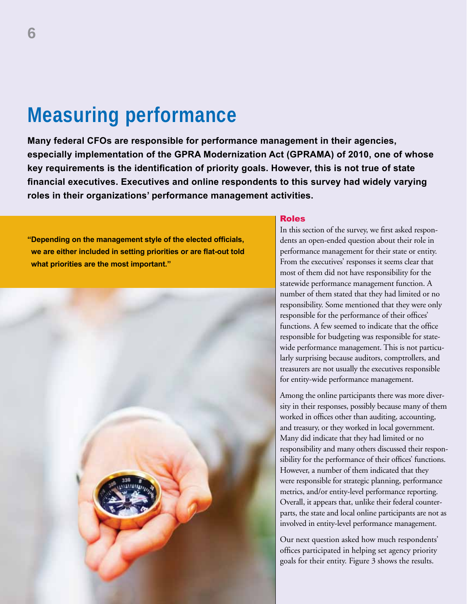# **Measuring performance**

**Many federal CFOs are responsible for performance management in their agencies, especially implementation of the GPRA Modernization Act (GPRAMA) of 2010, one of whose key requirements is the identification of priority goals. However, this is not true of state financial executives. Executives and online respondents to this survey had widely varying roles in their organizations' performance management activities.** 

**"Depending on the management style of the elected officials, we are either included in setting priorities or are flat-out told what priorities are the most important."**



### Roles

In this section of the survey, we first asked respondents an open-ended question about their role in performance management for their state or entity. From the executives' responses it seems clear that most of them did not have responsibility for the statewide performance management function. A number of them stated that they had limited or no responsibility. Some mentioned that they were only responsible for the performance of their offices' functions. A few seemed to indicate that the office responsible for budgeting was responsible for statewide performance management. This is not particularly surprising because auditors, comptrollers, and treasurers are not usually the executives responsible for entity-wide performance management.

Among the online participants there was more diversity in their responses, possibly because many of them worked in offices other than auditing, accounting, and treasury, or they worked in local government. Many did indicate that they had limited or no responsibility and many others discussed their responsibility for the performance of their offices' functions. However, a number of them indicated that they were responsible for strategic planning, performance metrics, and/or entity-level performance reporting. Overall, it appears that, unlike their federal counterparts, the state and local online participants are not as involved in entity-level performance management.

Our next question asked how much respondents' offices participated in helping set agency priority goals for their entity. Figure 3 shows the results.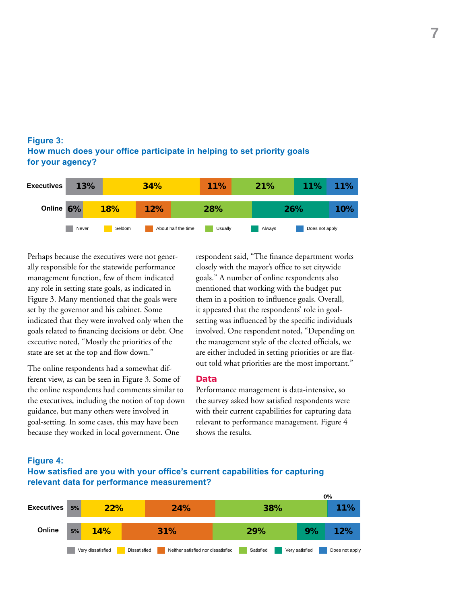### **Figure 3: How much does your office participate in helping to set priority goals for your agency?**

| <b>Executives</b> | 13%   |            | 34% | <b>11%</b>                     | <b>21%</b> | <b>11%</b>     | 11% |
|-------------------|-------|------------|-----|--------------------------------|------------|----------------|-----|
| Online 6%         |       | <b>18%</b> | 12% | 28%                            |            | 26%            | 10% |
|                   | Never | Seldom     |     | About half the time<br>Usually | Always     | Does not apply |     |

Perhaps because the executives were not generally responsible for the statewide performance management function, few of them indicated any role in setting state goals, as indicated in Figure 3. Many mentioned that the goals were set by the governor and his cabinet. Some indicated that they were involved only when the goals related to financing decisions or debt. One executive noted, "Mostly the priorities of the state are set at the top and flow down."

The online respondents had a somewhat different view, as can be seen in Figure 3. Some of the online respondents had comments similar to the executives, including the notion of top down guidance, but many others were involved in goal-setting. In some cases, this may have been because they worked in local government. One

respondent said, "The finance department works closely with the mayor's office to set citywide goals." A number of online respondents also mentioned that working with the budget put them in a position to influence goals. Overall, it appeared that the respondents' role in goalsetting was influenced by the specific individuals involved. One respondent noted, "Depending on the management style of the elected officials, we are either included in setting priorities or are flatout told what priorities are the most important."

### **Data**

Performance management is data-intensive, so the survey asked how satisfied respondents were with their current capabilities for capturing data relevant to performance management. Figure 4 shows the results.

### **Figure 4: How satisfied are you with your office's current capabilities for capturing relevant data for performance measurement?**

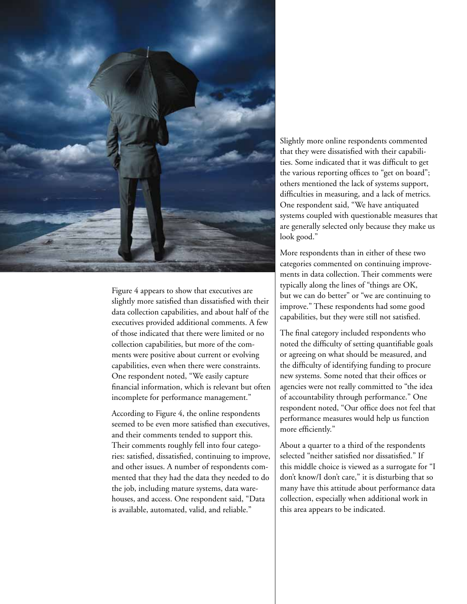

Figure 4 appears to show that executives are slightly more satisfied than dissatisfied with their data collection capabilities, and about half of the executives provided additional comments. A few of those indicated that there were limited or no collection capabilities, but more of the comments were positive about current or evolving capabilities, even when there were constraints. One respondent noted, "We easily capture financial information, which is relevant but often incomplete for performance management."

According to Figure 4, the online respondents seemed to be even more satisfied than executives, and their comments tended to support this. Their comments roughly fell into four categories: satisfied, dissatisfied, continuing to improve, and other issues. A number of respondents commented that they had the data they needed to do the job, including mature systems, data warehouses, and access. One respondent said, "Data is available, automated, valid, and reliable."

Slightly more online respondents commented that they were dissatisfied with their capabilities. Some indicated that it was difficult to get the various reporting offices to "get on board"; others mentioned the lack of systems support, difficulties in measuring, and a lack of metrics. One respondent said, "We have antiquated systems coupled with questionable measures that are generally selected only because they make us look good."

More respondents than in either of these two categories commented on continuing improvements in data collection. Their comments were typically along the lines of "things are OK, but we can do better" or "we are continuing to improve." These respondents had some good capabilities, but they were still not satisfied.

The final category included respondents who noted the difficulty of setting quantifiable goals or agreeing on what should be measured, and the difficulty of identifying funding to procure new systems. Some noted that their offices or agencies were not really committed to "the idea of accountability through performance." One respondent noted, "Our office does not feel that performance measures would help us function more efficiently."

About a quarter to a third of the respondents selected "neither satisfied nor dissatisfied." If this middle choice is viewed as a surrogate for "I don't know/I don't care," it is disturbing that so many have this attitude about performance data collection, especially when additional work in this area appears to be indicated.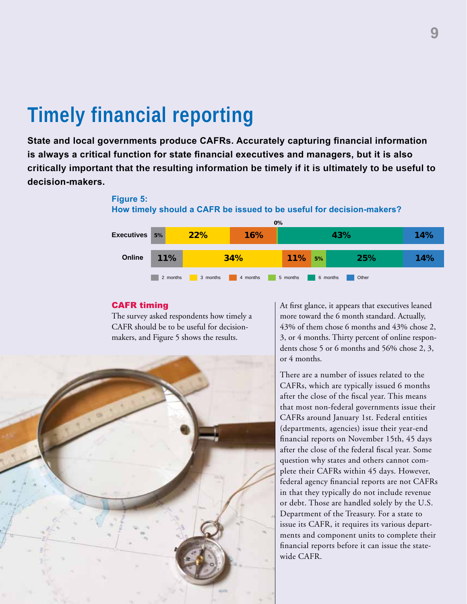# **Timely financial reporting**

**State and local governments produce CAFRs. Accurately capturing financial information is always a critical function for state financial executives and managers, but it is also critically important that the resulting information be timely if it is ultimately to be useful to decision-makers.** 

### **Figure 5: How timely should a CAFR be issued to be useful for decision-makers?**



### CAFR timing

The survey asked respondents how timely a CAFR should be to be useful for decisionmakers, and Figure 5 shows the results.



At first glance, it appears that executives leaned more toward the 6 month standard. Actually, 43% of them chose 6 months and 43% chose 2, 3, or 4 months. Thirty percent of online respondents chose 5 or 6 months and 56% chose 2, 3, or 4 months.

There are a number of issues related to the CAFRs, which are typically issued 6 months after the close of the fiscal year. This means that most non-federal governments issue their CAFRs around January 1st. Federal entities (departments, agencies) issue their year-end financial reports on November 15th, 45 days after the close of the federal fiscal year. Some question why states and others cannot complete their CAFRs within 45 days. However, federal agency financial reports are not CAFRs in that they typically do not include revenue or debt. Those are handled solely by the U.S. Department of the Treasury. For a state to issue its CAFR, it requires its various departments and component units to complete their financial reports before it can issue the statewide CAFR.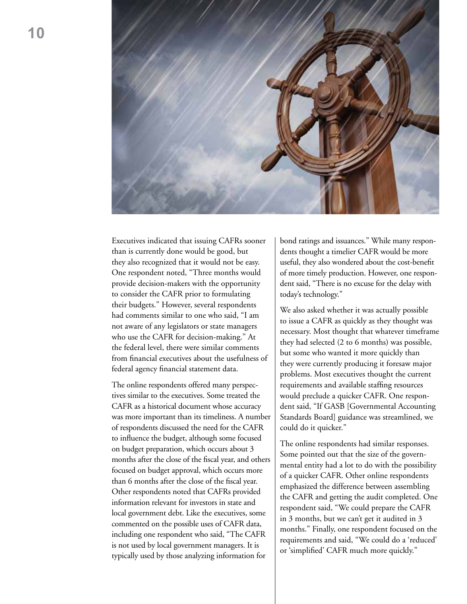

Executives indicated that issuing CAFRs sooner than is currently done would be good, but they also recognized that it would not be easy. One respondent noted, "Three months would provide decision-makers with the opportunity to consider the CAFR prior to formulating their budgets." However, several respondents had comments similar to one who said, "I am not aware of any legislators or state managers who use the CAFR for decision-making." At the federal level, there were similar comments from financial executives about the usefulness of federal agency financial statement data.

The online respondents offered many perspectives similar to the executives. Some treated the CAFR as a historical document whose accuracy was more important than its timeliness. A number of respondents discussed the need for the CAFR to influence the budget, although some focused on budget preparation, which occurs about 3 months after the close of the fiscal year, and others focused on budget approval, which occurs more than 6 months after the close of the fiscal year. Other respondents noted that CAFRs provided information relevant for investors in state and local government debt. Like the executives, some commented on the possible uses of CAFR data, including one respondent who said, "The CAFR is not used by local government managers. It is typically used by those analyzing information for

bond ratings and issuances." While many respondents thought a timelier CAFR would be more useful, they also wondered about the cost-benefit of more timely production. However, one respondent said, "There is no excuse for the delay with today's technology."

We also asked whether it was actually possible to issue a CAFR as quickly as they thought was necessary. Most thought that whatever timeframe they had selected (2 to 6 months) was possible, but some who wanted it more quickly than they were currently producing it foresaw major problems. Most executives thought the current requirements and available staffing resources would preclude a quicker CAFR. One respondent said, "If GASB [Governmental Accounting Standards Board] guidance was streamlined, we could do it quicker."

The online respondents had similar responses. Some pointed out that the size of the governmental entity had a lot to do with the possibility of a quicker CAFR. Other online respondents emphasized the difference between assembling the CAFR and getting the audit completed. One respondent said, "We could prepare the CAFR in 3 months, but we can't get it audited in 3 months." Finally, one respondent focused on the requirements and said, "We could do a 'reduced' or 'simplified' CAFR much more quickly."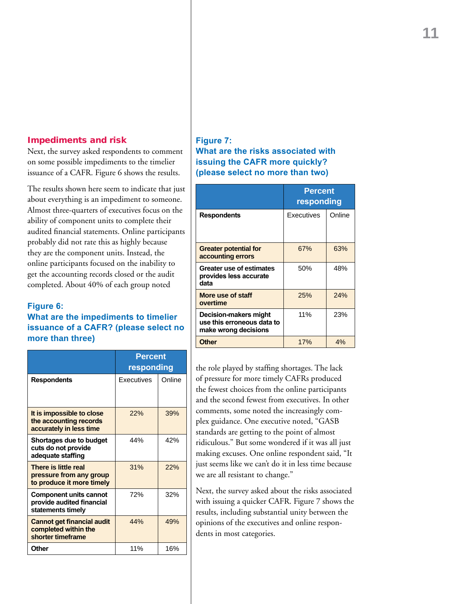### Impediments and risk

Next, the survey asked respondents to comment on some possible impediments to the timelier issuance of a CAFR. Figure 6 shows the results.

The results shown here seem to indicate that just about everything is an impediment to someone. Almost three-quarters of executives focus on the ability of component units to complete their audited financial statements. Online participants probably did not rate this as highly because they are the component units. Instead, the online participants focused on the inability to get the accounting records closed or the audit completed. About 40% of each group noted

### **Figure 6:**

### **What are the impediments to timelier issuance of a CAFR? (please select no more than three)**

|                                                                                 | Percent<br>responding |        |
|---------------------------------------------------------------------------------|-----------------------|--------|
| <b>Respondents</b>                                                              | <b>Executives</b>     | Online |
| It is impossible to close<br>the accounting records<br>accurately in less time  | 22%                   | 39%    |
| Shortages due to budget<br>cuts do not provide<br>adequate staffing             | 44%                   | 42%    |
| There is little real<br>pressure from any group<br>to produce it more timely    | 31%                   | 22%    |
| <b>Component units cannot</b><br>provide audited financial<br>statements timely | 72%                   | 32%    |
| <b>Cannot get financial audit</b><br>completed within the<br>shorter timeframe  | 44%                   | 49%    |
| Other                                                                           | 11%                   | 16%    |

### **Figure 7: What are the risks associated with issuing the CAFR more quickly? (please select no more than two)**

|                                                                             | <b>Percent</b><br>responding |        |
|-----------------------------------------------------------------------------|------------------------------|--------|
| <b>Respondents</b>                                                          | Executives                   | Online |
| <b>Greater potential for</b><br>accounting errors                           | 67%                          | 63%    |
| Greater use of estimates<br>provides less accurate<br>data                  | 50%                          | 48%    |
| More use of staff<br>overtime                                               | 25%                          | 24%    |
| Decision-makers might<br>use this erroneous data to<br>make wrong decisions | 11%                          | 23%    |
| <b>Other</b>                                                                | 17%                          | 4%     |

the role played by staffing shortages. The lack of pressure for more timely CAFRs produced the fewest choices from the online participants and the second fewest from executives. In other comments, some noted the increasingly complex guidance. One executive noted, "GASB standards are getting to the point of almost ridiculous." But some wondered if it was all just making excuses. One online respondent said, "It just seems like we can't do it in less time because we are all resistant to change."

Next, the survey asked about the risks associated with issuing a quicker CAFR. Figure 7 shows the results, including substantial unity between the opinions of the executives and online respondents in most categories.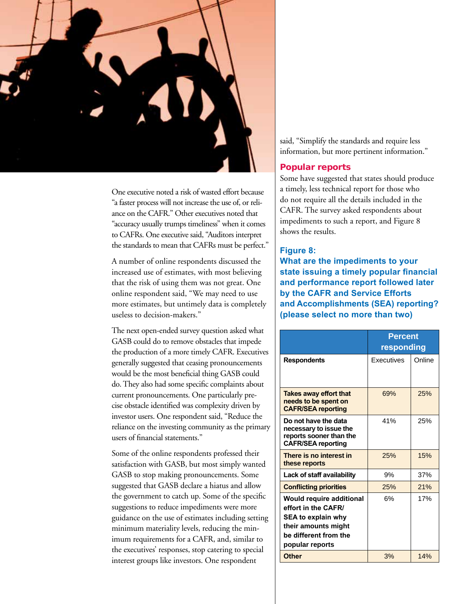

One executive noted a risk of wasted effort because "a faster process will not increase the use of, or reliance on the CAFR." Other executives noted that "accuracy usually trumps timeliness" when it comes to CAFRs. One executive said, "Auditors interpret the standards to mean that CAFRs must be perfect."

A number of online respondents discussed the increased use of estimates, with most believing that the risk of using them was not great. One online respondent said, "We may need to use more estimates, but untimely data is completely useless to decision-makers."

The next open-ended survey question asked what GASB could do to remove obstacles that impede the production of a more timely CAFR. Executives generally suggested that ceasing pronouncements would be the most beneficial thing GASB could do. They also had some specific complaints about current pronouncements. One particularly precise obstacle identified was complexity driven by investor users. One respondent said, "Reduce the reliance on the investing community as the primary users of financial statements."

Some of the online respondents professed their satisfaction with GASB, but most simply wanted GASB to stop making pronouncements. Some suggested that GASB declare a hiatus and allow the government to catch up. Some of the specific suggestions to reduce impediments were more guidance on the use of estimates including setting minimum materiality levels, reducing the minimum requirements for a CAFR, and, similar to the executives' responses, stop catering to special interest groups like investors. One respondent

said, "Simplify the standards and require less information, but more pertinent information."

### Popular reports

Some have suggested that states should produce a timely, less technical report for those who do not require all the details included in the CAFR. The survey asked respondents about impediments to such a report, and Figure 8 shows the results.

### **Figure 8:**

**What are the impediments to your state issuing a timely popular financial and performance report followed later by the CAFR and Service Efforts and Accomplishments (SEA) reporting? (please select no more than two)**

|                                                                                                                                                        | <b>Percent</b><br>responding |        |
|--------------------------------------------------------------------------------------------------------------------------------------------------------|------------------------------|--------|
| <b>Respondents</b>                                                                                                                                     | Executives                   | Online |
| <b>Takes away effort that</b><br>needs to be spent on<br><b>CAFR/SEA reporting</b>                                                                     | 69%                          | 25%    |
| Do not have the data<br>necessary to issue the<br>reports sooner than the<br><b>CAFR/SEA reporting</b>                                                 | 41%                          | 25%    |
| There is no interest in<br>these reports                                                                                                               | 25%                          | 15%    |
| Lack of staff availability                                                                                                                             | 9%                           | 37%    |
| <b>Conflicting priorities</b>                                                                                                                          | 25%                          | 21%    |
| <b>Would require additional</b><br>effort in the CAFR/<br><b>SEA to explain why</b><br>their amounts might<br>be different from the<br>popular reports | 6%                           | 17%    |
| <b>Other</b>                                                                                                                                           | 3%                           | 14%    |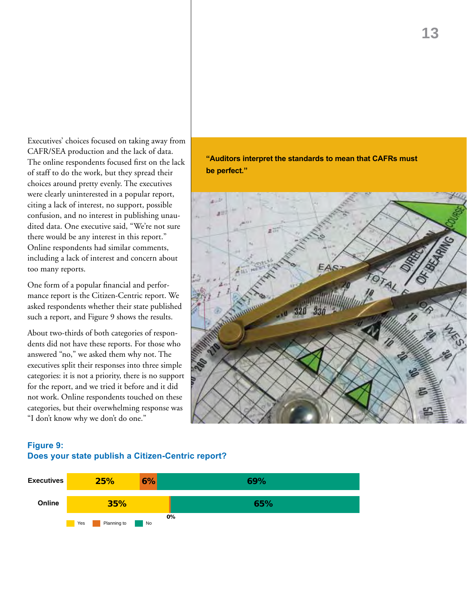Executives' choices focused on taking away from CAFR/SEA production and the lack of data. The online respondents focused first on the lack of staff to do the work, but they spread their choices around pretty evenly. The executives were clearly uninterested in a popular report, citing a lack of interest, no support, possible confusion, and no interest in publishing unaudited data. One executive said, "We're not sure there would be any interest in this report." Online respondents had similar comments, including a lack of interest and concern about too many reports.

One form of a popular financial and performance report is the Citizen-Centric report. We asked respondents whether their state published such a report, and Figure 9 shows the results.

About two-thirds of both categories of respondents did not have these reports. For those who answered "no," we asked them why not. The executives split their responses into three simple categories: it is not a priority, there is no support for the report, and we tried it before and it did not work. Online respondents touched on these categories, but their overwhelming response was "I don't know why we don't do one."

### **Figure 9: Does your state publish a Citizen-Centric report?**



**"Auditors interpret the standards to mean that CAFRs must be perfect."**



### **13**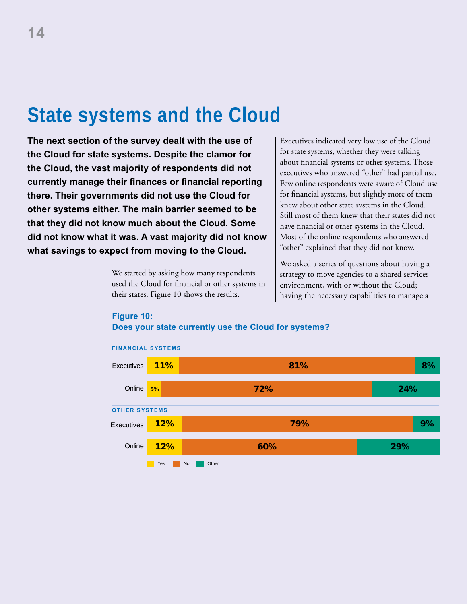# **State systems and the Cloud**

**The next section of the survey dealt with the use of the Cloud for state systems. Despite the clamor for the Cloud, the vast majority of respondents did not currently manage their finances or financial reporting there. Their governments did not use the Cloud for other systems either. The main barrier seemed to be that they did not know much about the Cloud. Some did not know what it was. A vast majority did not know what savings to expect from moving to the Cloud.** 

> We started by asking how many respondents used the Cloud for financial or other systems in their states. Figure 10 shows the results.

Executives indicated very low use of the Cloud for state systems, whether they were talking about financial systems or other systems. Those executives who answered "other" had partial use. Few online respondents were aware of Cloud use for financial systems, but slightly more of them knew about other state systems in the Cloud. Still most of them knew that their states did not have financial or other systems in the Cloud. Most of the online respondents who answered "other" explained that they did not know.

We asked a series of questions about having a strategy to move agencies to a shared services environment, with or without the Cloud; having the necessary capabilities to manage a



### **Figure 10: Does your state currently use the Cloud for systems?**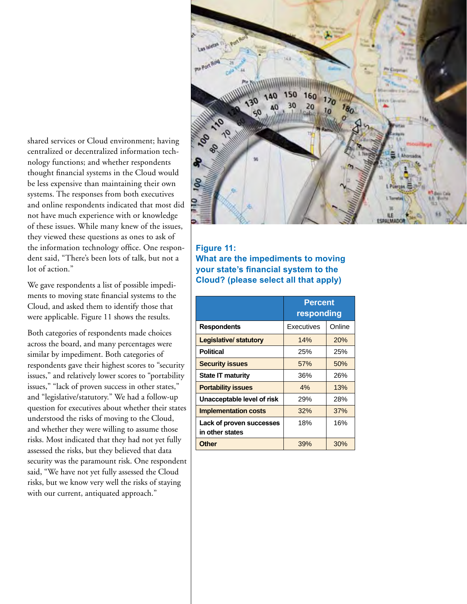shared services or Cloud environment; having centralized or decentralized information technology functions; and whether respondents thought financial systems in the Cloud would be less expensive than maintaining their own systems. The responses from both executives and online respondents indicated that most did not have much experience with or knowledge of these issues. While many knew of the issues, they viewed these questions as ones to ask of the information technology office. One respondent said, "There's been lots of talk, but not a lot of action."

We gave respondents a list of possible impediments to moving state financial systems to the Cloud, and asked them to identify those that were applicable. Figure 11 shows the results.

Both categories of respondents made choices across the board, and many percentages were similar by impediment. Both categories of respondents gave their highest scores to "security issues," and relatively lower scores to "portability issues," "lack of proven success in other states," and "legislative/statutory." We had a follow-up question for executives about whether their states understood the risks of moving to the Cloud, and whether they were willing to assume those risks. Most indicated that they had not yet fully assessed the risks, but they believed that data security was the paramount risk. One respondent said, "We have not yet fully assessed the Cloud risks, but we know very well the risks of staying with our current, antiquated approach."



### **Figure 11:**

**What are the impediments to moving your state's financial system to the Cloud? (please select all that apply)**

|                                             | <b>Percent</b><br>responding |        |  |
|---------------------------------------------|------------------------------|--------|--|
| <b>Respondents</b>                          | Executives                   | Online |  |
| <b>Legislative/statutory</b>                | 14%                          | 20%    |  |
| <b>Political</b>                            | 25%                          | 25%    |  |
| <b>Security issues</b>                      | 57%                          | 50%    |  |
| <b>State IT maturity</b>                    | 36%                          | 26%    |  |
| <b>Portability issues</b>                   | 4%                           | 13%    |  |
| Unacceptable level of risk                  | 29%                          | 28%    |  |
| <b>Implementation costs</b>                 | 32%                          | 37%    |  |
| Lack of proven successes<br>in other states | 18%                          | 16%    |  |
| <b>Other</b>                                | 39%                          | 30%    |  |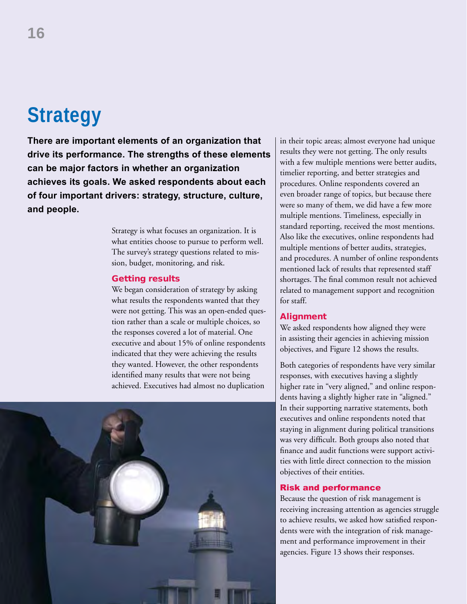# **Strategy**

**There are important elements of an organization that drive its performance. The strengths of these elements can be major factors in whether an organization achieves its goals. We asked respondents about each of four important drivers: strategy, structure, culture, and people.** 

> Strategy is what focuses an organization. It is what entities choose to pursue to perform well. The survey's strategy questions related to mission, budget, monitoring, and risk.

### Getting results

We began consideration of strategy by asking what results the respondents wanted that they were not getting. This was an open-ended question rather than a scale or multiple choices, so the responses covered a lot of material. One executive and about 15% of online respondents indicated that they were achieving the results they wanted. However, the other respondents identified many results that were not being achieved. Executives had almost no duplication



in their topic areas; almost everyone had unique results they were not getting. The only results with a few multiple mentions were better audits, timelier reporting, and better strategies and procedures. Online respondents covered an even broader range of topics, but because there were so many of them, we did have a few more multiple mentions. Timeliness, especially in standard reporting, received the most mentions. Also like the executives, online respondents had multiple mentions of better audits, strategies, and procedures. A number of online respondents mentioned lack of results that represented staff shortages. The final common result not achieved related to management support and recognition for staff.

### Alignment

We asked respondents how aligned they were in assisting their agencies in achieving mission objectives, and Figure 12 shows the results.

Both categories of respondents have very similar responses, with executives having a slightly higher rate in "very aligned," and online respondents having a slightly higher rate in "aligned." In their supporting narrative statements, both executives and online respondents noted that staying in alignment during political transitions was very difficult. Both groups also noted that finance and audit functions were support activities with little direct connection to the mission objectives of their entities.

### Risk and performance

Because the question of risk management is receiving increasing attention as agencies struggle to achieve results, we asked how satisfied respondents were with the integration of risk management and performance improvement in their agencies. Figure 13 shows their responses.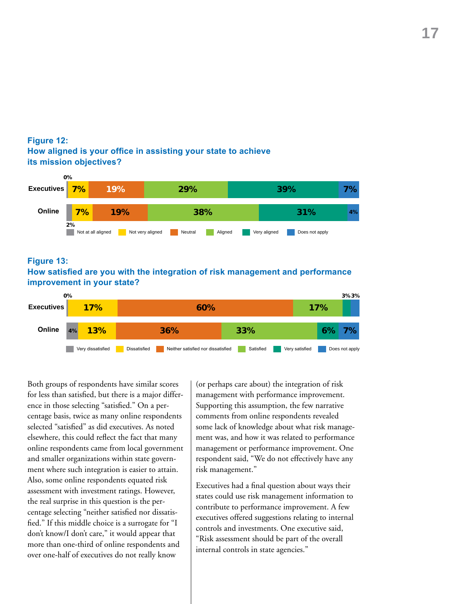### **Figure 12: How aligned is your office in assisting your state to achieve its mission objectives?**



### **Figure 13:**

### **How satisfied are you with the integration of risk management and performance improvement in your state?**



Both groups of respondents have similar scores for less than satisfied, but there is a major difference in those selecting "satisfied." On a percentage basis, twice as many online respondents selected "satisfied" as did executives. As noted elsewhere, this could reflect the fact that many online respondents came from local government and smaller organizations within state government where such integration is easier to attain. Also, some online respondents equated risk assessment with investment ratings. However, the real surprise in this question is the percentage selecting "neither satisfied nor dissatisfied." If this middle choice is a surrogate for "I don't know/I don't care," it would appear that more than one-third of online respondents and over one-half of executives do not really know

(or perhaps care about) the integration of risk management with performance improvement. Supporting this assumption, the few narrative comments from online respondents revealed some lack of knowledge about what risk management was, and how it was related to performance management or performance improvement. One respondent said, "We do not effectively have any risk management."

Executives had a final question about ways their states could use risk management information to contribute to performance improvement. A few executives offered suggestions relating to internal controls and investments. One executive said, "Risk assessment should be part of the overall internal controls in state agencies."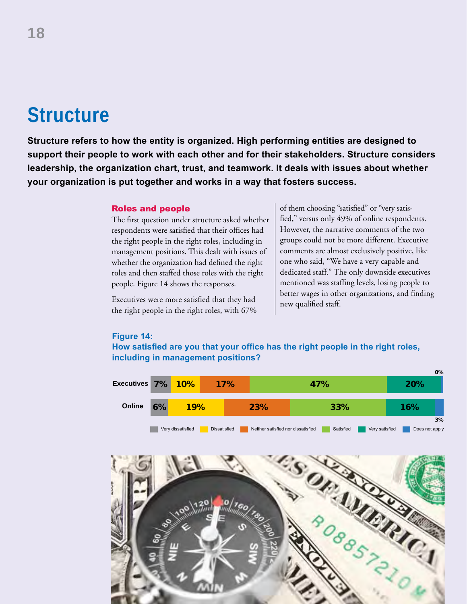## **Structure**

**Structure refers to how the entity is organized. High performing entities are designed to support their people to work with each other and for their stakeholders. Structure considers leadership, the organization chart, trust, and teamwork. It deals with issues about whether your organization is put together and works in a way that fosters success.** 

### Roles and people

The first question under structure asked whether respondents were satisfied that their offices had the right people in the right roles, including in management positions. This dealt with issues of whether the organization had defined the right roles and then staffed those roles with the right people. Figure 14 shows the responses.

Executives were more satisfied that they had the right people in the right roles, with 67% of them choosing "satisfied" or "very satisfied," versus only 49% of online respondents. However, the narrative comments of the two groups could not be more different. Executive comments are almost exclusively positive, like one who said, "We have a very capable and dedicated staff." The only downside executives mentioned was staffing levels, losing people to better wages in other organizations, and finding new qualified staff.

#### **Figure 14:**

**How satisfied are you that your office has the right people in the right roles, including in management positions?** 

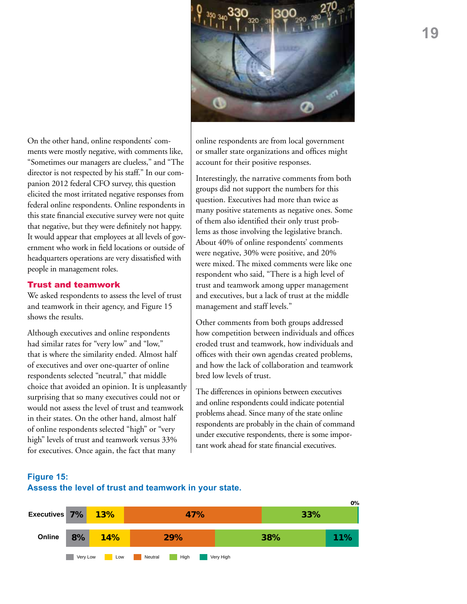

online respondents are from local government or smaller state organizations and offices might account for their positive responses.

Interestingly, the narrative comments from both groups did not support the numbers for this question. Executives had more than twice as many positive statements as negative ones. Some of them also identified their only trust problems as those involving the legislative branch. About 40% of online respondents' comments were negative, 30% were positive, and 20% were mixed. The mixed comments were like one respondent who said, "There is a high level of trust and teamwork among upper management and executives, but a lack of trust at the middle management and staff levels."

Other comments from both groups addressed how competition between individuals and offices eroded trust and teamwork, how individuals and offices with their own agendas created problems, and how the lack of collaboration and teamwork bred low levels of trust.

The differences in opinions between executives and online respondents could indicate potential problems ahead. Since many of the state online respondents are probably in the chain of command under executive respondents, there is some important work ahead for state financial executives.

On the other hand, online respondents' comments were mostly negative, with comments like, "Sometimes our managers are clueless," and "The director is not respected by his staff." In our companion 2012 federal CFO survey, this question elicited the most irritated negative responses from federal online respondents. Online respondents in this state financial executive survey were not quite that negative, but they were definitely not happy. It would appear that employees at all levels of government who work in field locations or outside of headquarters operations are very dissatisfied with people in management roles.

### Trust and teamwork

We asked respondents to assess the level of trust and teamwork in their agency, and Figure 15 shows the results.

Although executives and online respondents had similar rates for "very low" and "low," that is where the similarity ended. Almost half of executives and over one-quarter of online respondents selected "neutral," that middle choice that avoided an opinion. It is unpleasantly surprising that so many executives could not or would not assess the level of trust and teamwork in their states. On the other hand, almost half of online respondents selected "high" or "very high" levels of trust and teamwork versus 33% for executives. Once again, the fact that many

### **Figure 15:**



### **Assess the level of trust and teamwork in your state.**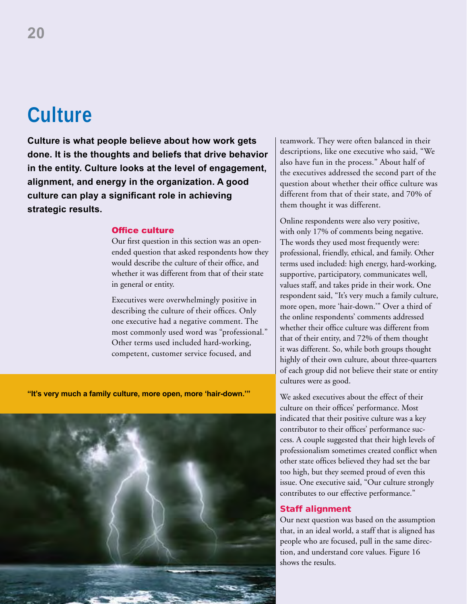## **Culture**

**Culture is what people believe about how work gets done. It is the thoughts and beliefs that drive behavior in the entity. Culture looks at the level of engagement, alignment, and energy in the organization. A good culture can play a significant role in achieving strategic results.**

### Office culture

Our first question in this section was an openended question that asked respondents how they would describe the culture of their office, and whether it was different from that of their state in general or entity.

Executives were overwhelmingly positive in describing the culture of their offices. Only one executive had a negative comment. The most commonly used word was "professional." Other terms used included hard-working, competent, customer service focused, and

**"It's very much a family culture, more open, more 'hair-down.'"**



teamwork. They were often balanced in their descriptions, like one executive who said, "We also have fun in the process." About half of the executives addressed the second part of the question about whether their office culture was different from that of their state, and 70% of them thought it was different.

Online respondents were also very positive, with only 17% of comments being negative. The words they used most frequently were: professional, friendly, ethical, and family. Other terms used included: high energy, hard-working, supportive, participatory, communicates well, values staff, and takes pride in their work. One respondent said, "It's very much a family culture, more open, more 'hair-down.'" Over a third of the online respondents' comments addressed whether their office culture was different from that of their entity, and 72% of them thought it was different. So, while both groups thought highly of their own culture, about three-quarters of each group did not believe their state or entity cultures were as good.

We asked executives about the effect of their culture on their offices' performance. Most indicated that their positive culture was a key contributor to their offices' performance success. A couple suggested that their high levels of professionalism sometimes created conflict when other state offices believed they had set the bar too high, but they seemed proud of even this issue. One executive said, "Our culture strongly contributes to our effective performance."

### Staff alignment

Our next question was based on the assumption that, in an ideal world, a staff that is aligned has people who are focused, pull in the same direction, and understand core values. Figure 16 shows the results.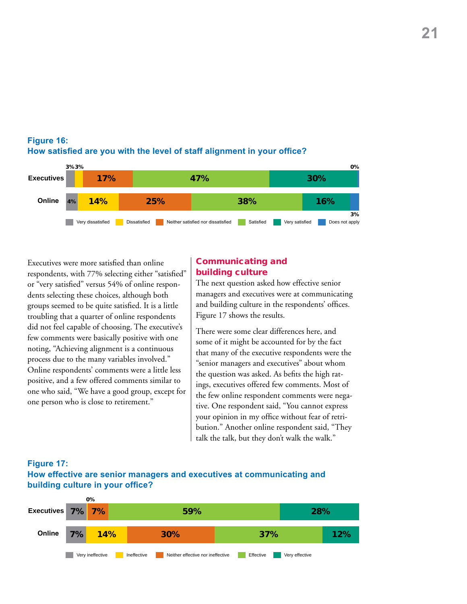

### **Figure 16: How satisfied are you with the level of staff alignment in your office?**

Executives were more satisfied than online respondents, with 77% selecting either "satisfied" or "very satisfied" versus 54% of online respondents selecting these choices, although both groups seemed to be quite satisfied. It is a little troubling that a quarter of online respondents did not feel capable of choosing. The executive's few comments were basically positive with one noting, "Achieving alignment is a continuous process due to the many variables involved." Online respondents' comments were a little less positive, and a few offered comments similar to one who said, "We have a good group, except for one person who is close to retirement."

### Communicating and building culture

The next question asked how effective senior managers and executives were at communicating and building culture in the respondents' offices. Figure 17 shows the results.

There were some clear differences here, and some of it might be accounted for by the fact that many of the executive respondents were the "senior managers and executives" about whom the question was asked. As befits the high ratings, executives offered few comments. Most of the few online respondent comments were negative. One respondent said, "You cannot express your opinion in my office without fear of retribution." Another online respondent said, "They talk the talk, but they don't walk the walk."



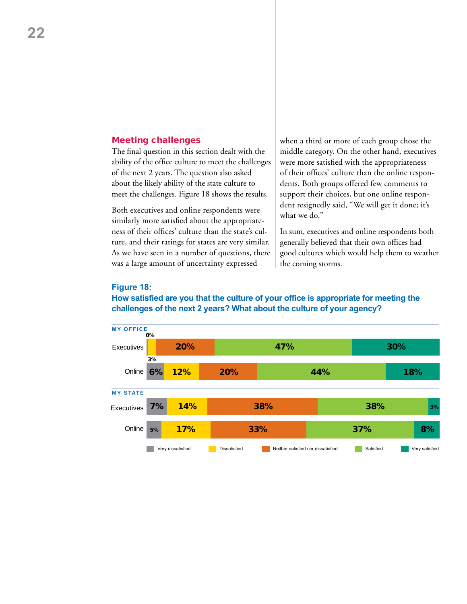#### Meeting challenges

The final question in this section dealt with the ability of the office culture to meet the challenges of the next 2 years. The question also asked about the likely ability of the state culture to meet the challenges. Figure 18 shows the results.

Both executives and online respondents were similarly more satisfied about the appropriateness of their offices' culture than the state's culture, and their ratings for states are very similar. As we have seen in a number of questions, there was a large amount of uncertainty expressed

when a third or more of each group chose the middle category. On the other hand, executives were more satisfied with the appropriateness of their offices' culture than the online respondents. Both groups offered few comments to support their choices, but one online respondent resignedly said, "We will get it done; it's what we do."

In sum, executives and online respondents both generally believed that their own offices had good cultures which would help them to weather the coming storms.

#### **Figure 18:**

### **How satisfied are you that the culture of your office is appropriate for meeting the challenges of the next 2 years? What about the culture of your agency?**

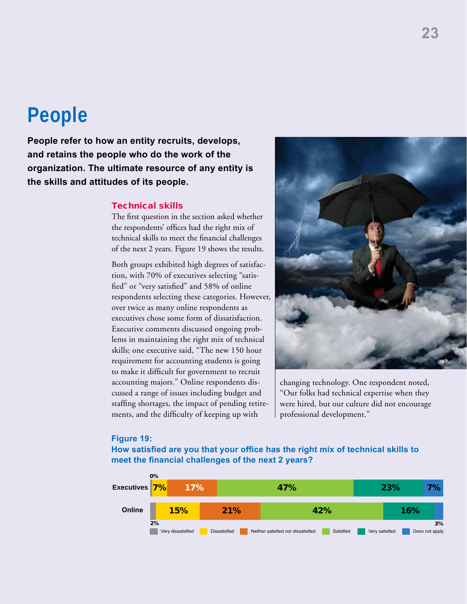### **People**

**People refer to how an entity recruits, develops, and retains the people who do the work of the organization. The ultimate resource of any entity is the skills and attitudes of its people.** 

### Technical skills

The first question in the section asked whether the respondents' offices had the right mix of technical skills to meet the financial challenges of the next 2 years. Figure 19 shows the results.

Both groups exhibited high degrees of satisfaction, with 70% of executives selecting "satisfied" or "very satisfied" and 58% of online respondents selecting these categories. However, over twice as many online respondents as executives chose some form of dissatisfaction. Executive comments discussed ongoing problems in maintaining the right mix of technical skills; one executive said, "The new 150 hour requirement for accounting students is going to make it difficult for government to recruit accounting majors." Online respondents discussed a range of issues including budget and staffing shortages, the impact of pending retirements, and the difficulty of keeping up with



changing technology. One respondent noted, "Our folks had technical expertise when they were hired, but our culture did not encourage professional development."

#### **Figure 19:**

**How satisfied are you that your office has the right mix of technical skills to meet the financial challenges of the next 2 years?**

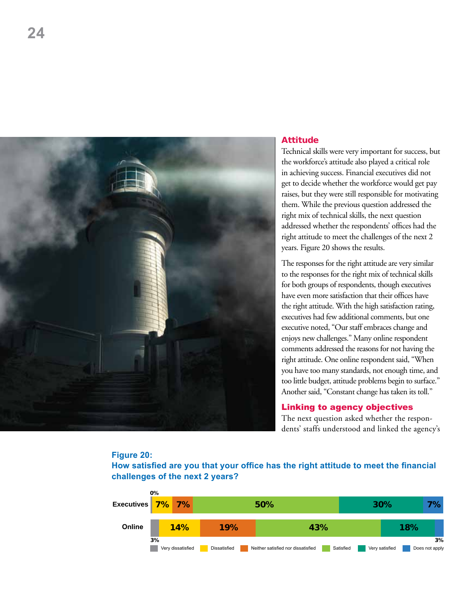

### Attitude

Technical skills were very important for success, but the workforce's attitude also played a critical role in achieving success. Financial executives did not get to decide whether the workforce would get pay raises, but they were still responsible for motivating them. While the previous question addressed the right mix of technical skills, the next question addressed whether the respondents' offices had the right attitude to meet the challenges of the next 2 years. Figure 20 shows the results.

The responses for the right attitude are very similar to the responses for the right mix of technical skills for both groups of respondents, though executives have even more satisfaction that their offices have the right attitude. With the high satisfaction rating, executives had few additional comments, but one executive noted, "Our staff embraces change and enjoys new challenges." Many online respondent comments addressed the reasons for not having the right attitude. One online respondent said, "When you have too many standards, not enough time, and too little budget, attitude problems begin to surface." Another said, "Constant change has taken its toll."

### Linking to agency objectives

The next question asked whether the respondents' staffs understood and linked the agency's

### **Figure 20:**

**How satisfied are you that your office has the right attitude to meet the financial challenges of the next 2 years?**

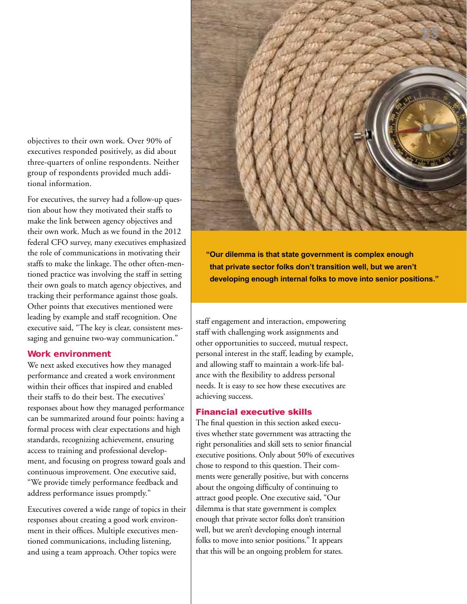objectives to their own work. Over 90% of executives responded positively, as did about three-quarters of online respondents. Neither group of respondents provided much additional information.

For executives, the survey had a follow-up question about how they motivated their staffs to make the link between agency objectives and their own work. Much as we found in the 2012 federal CFO survey, many executives emphasized the role of communications in motivating their staffs to make the linkage. The other often-mentioned practice was involving the staff in setting their own goals to match agency objectives, and tracking their performance against those goals. Other points that executives mentioned were leading by example and staff recognition. One executive said, "The key is clear, consistent messaging and genuine two-way communication."

### Work environment

We next asked executives how they managed performance and created a work environment within their offices that inspired and enabled their staffs to do their best. The executives' responses about how they managed performance can be summarized around four points: having a formal process with clear expectations and high standards, recognizing achievement, ensuring access to training and professional development, and focusing on progress toward goals and continuous improvement. One executive said, "We provide timely performance feedback and address performance issues promptly."

Executives covered a wide range of topics in their responses about creating a good work environment in their offices. Multiple executives mentioned communications, including listening, and using a team approach. Other topics were



**"Our dilemma is that state government is complex enough that private sector folks don't transition well, but we aren't developing enough internal folks to move into senior positions."**

staff engagement and interaction, empowering staff with challenging work assignments and other opportunities to succeed, mutual respect, personal interest in the staff, leading by example, and allowing staff to maintain a work-life balance with the flexibility to address personal needs. It is easy to see how these executives are achieving success.

### Financial executive skills

The final question in this section asked executives whether state government was attracting the right personalities and skill sets to senior financial executive positions. Only about 50% of executives chose to respond to this question. Their comments were generally positive, but with concerns about the ongoing difficulty of continuing to attract good people. One executive said, "Our dilemma is that state government is complex enough that private sector folks don't transition well, but we aren't developing enough internal folks to move into senior positions." It appears that this will be an ongoing problem for states.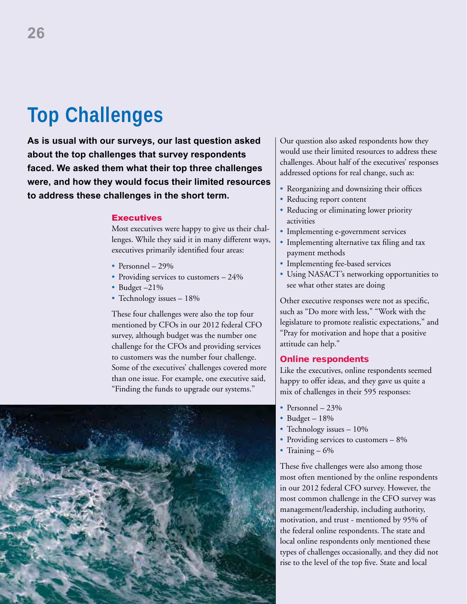# **Top Challenges**

**As is usual with our surveys, our last question asked about the top challenges that survey respondents faced. We asked them what their top three challenges were, and how they would focus their limited resources to address these challenges in the short term.** 

### **Executives**

Most executives were happy to give us their challenges. While they said it in many different ways, executives primarily identified four areas:

- Personnel  $29\%$
- Providing services to customers  $-24\%$
- Budget -21%
- Technology issues 18%

These four challenges were also the top four mentioned by CFOs in our 2012 federal CFO survey, although budget was the number one challenge for the CFOs and providing services to customers was the number four challenge. Some of the executives' challenges covered more than one issue. For example, one executive said, "Finding the funds to upgrade our systems."



Our question also asked respondents how they would use their limited resources to address these challenges. About half of the executives' responses addressed options for real change, such as:

- Reorganizing and downsizing their offices
- Reducing report content
- Reducing or eliminating lower priority activities
- Implementing e-government services
- Implementing alternative tax filing and tax payment methods
- Implementing fee-based services
- Using NASACT's networking opportunities to see what other states are doing

Other executive responses were not as specific, such as "Do more with less," "Work with the legislature to promote realistic expectations," and "Pray for motivation and hope that a positive attitude can help."

### Online respondents

Like the executives, online respondents seemed happy to offer ideas, and they gave us quite a mix of challenges in their 595 responses:

- Personnel  $23%$
- Budget  $18\%$
- Technology issues 10%
- Providing services to customers  $-8\%$
- Training  $-6\%$

These five challenges were also among those most often mentioned by the online respondents in our 2012 federal CFO survey. However, the most common challenge in the CFO survey was management/leadership, including authority, motivation, and trust - mentioned by 95% of the federal online respondents. The state and local online respondents only mentioned these types of challenges occasionally, and they did not rise to the level of the top five. State and local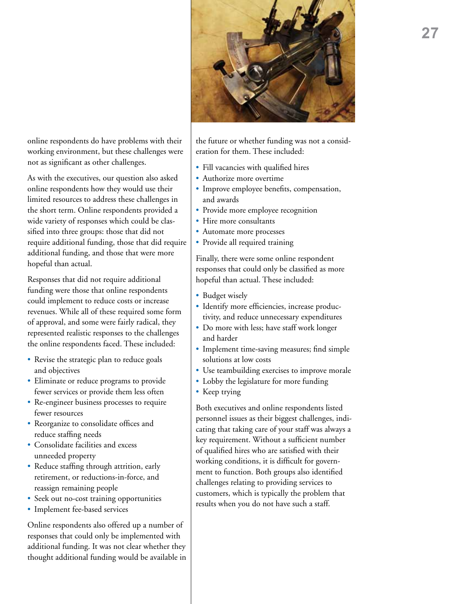

online respondents do have problems with their working environment, but these challenges were not as significant as other challenges.

As with the executives, our question also asked online respondents how they would use their limited resources to address these challenges in the short term. Online respondents provided a wide variety of responses which could be classified into three groups: those that did not require additional funding, those that did require additional funding, and those that were more hopeful than actual.

Responses that did not require additional funding were those that online respondents could implement to reduce costs or increase revenues. While all of these required some form of approval, and some were fairly radical, they represented realistic responses to the challenges the online respondents faced. These included:

- Revise the strategic plan to reduce goals and objectives
- • Eliminate or reduce programs to provide fewer services or provide them less often
- Re-engineer business processes to require fewer resources
- • Reorganize to consolidate offices and reduce staffing needs
- • Consolidate facilities and excess unneeded property
- • Reduce staffing through attrition, early retirement, or reductions-in-force, and reassign remaining people
- Seek out no-cost training opportunities
- Implement fee-based services

Online respondents also offered up a number of responses that could only be implemented with additional funding. It was not clear whether they thought additional funding would be available in

the future or whether funding was not a consideration for them. These included:

- • Fill vacancies with qualified hires
- Authorize more overtime
- Improve employee benefits, compensation, and awards
- Provide more employee recognition
- Hire more consultants
- Automate more processes
- Provide all required training

Finally, there were some online respondent responses that could only be classified as more hopeful than actual. These included:

- Budget wisely
- Identify more efficiencies, increase productivity, and reduce unnecessary expenditures
- Do more with less; have staff work longer and harder
- • Implement time-saving measures; find simple solutions at low costs
- • Use teambuilding exercises to improve morale
- Lobby the legislature for more funding
- Keep trying

Both executives and online respondents listed personnel issues as their biggest challenges, indicating that taking care of your staff was always a key requirement. Without a sufficient number of qualified hires who are satisfied with their working conditions, it is difficult for government to function. Both groups also identified challenges relating to providing services to customers, which is typically the problem that results when you do not have such a staff.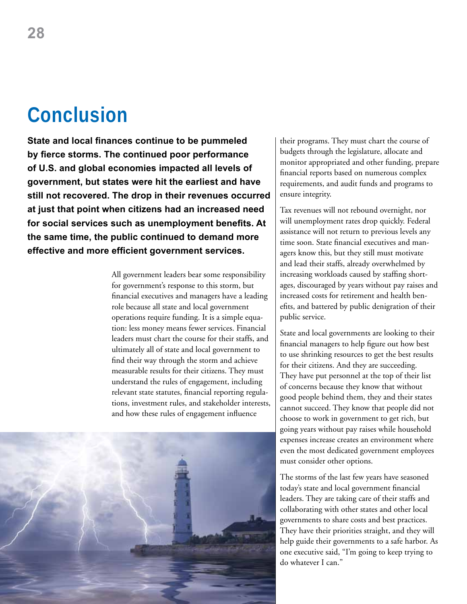### **Conclusion**

**State and local finances continue to be pummeled by fierce storms. The continued poor performance of U.S. and global economies impacted all levels of government, but states were hit the earliest and have still not recovered. The drop in their revenues occurred at just that point when citizens had an increased need for social services such as unemployment benefits. At the same time, the public continued to demand more effective and more efficient government services.** 

> All government leaders bear some responsibility for government's response to this storm, but financial executives and managers have a leading role because all state and local government operations require funding. It is a simple equation: less money means fewer services. Financial leaders must chart the course for their staffs, and ultimately all of state and local government to find their way through the storm and achieve measurable results for their citizens. They must understand the rules of engagement, including relevant state statutes, financial reporting regulations, investment rules, and stakeholder interests, and how these rules of engagement influence



their programs. They must chart the course of budgets through the legislature, allocate and monitor appropriated and other funding, prepare financial reports based on numerous complex requirements, and audit funds and programs to ensure integrity.

Tax revenues will not rebound overnight, nor will unemployment rates drop quickly. Federal assistance will not return to previous levels any time soon. State financial executives and managers know this, but they still must motivate and lead their staffs, already overwhelmed by increasing workloads caused by staffing shortages, discouraged by years without pay raises and increased costs for retirement and health benefits, and battered by public denigration of their public service.

State and local governments are looking to their financial managers to help figure out how best to use shrinking resources to get the best results for their citizens. And they are succeeding. They have put personnel at the top of their list of concerns because they know that without good people behind them, they and their states cannot succeed. They know that people did not choose to work in government to get rich, but going years without pay raises while household expenses increase creates an environment where even the most dedicated government employees must consider other options.

The storms of the last few years have seasoned today's state and local government financial leaders. They are taking care of their staffs and collaborating with other states and other local governments to share costs and best practices. They have their priorities straight, and they will help guide their governments to a safe harbor. As one executive said, "I'm going to keep trying to do whatever I can."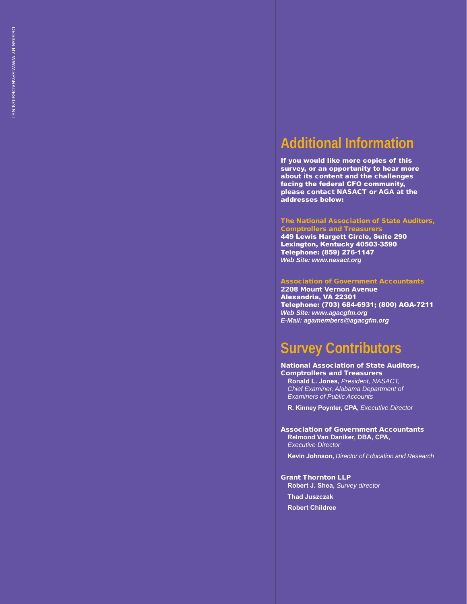### **Additional Information**

If you would like more copies of this survey, or an opportunity to hear more about its content and the challenges facing the federal CFO community, please contact NA SAC T or A GA at the addresses below:

#### The National Association of State Auditors, **Comptrollers and Treasurers**

449 Lewis Hargett Circle, Suite 290 Lexington, Kentucky 40503-3590 Telephone: (859) 276-1147 *Web Site: www.nasact.org*

#### Association of Government Accountants

2208 Mount Vernon Avenue Alexandria, VA 22301 Telephone: (703) 684-6931; (800) AGA-7211 *Web Site: www.agacgfm.org E-Mail: agamembers@agacgfm.org*

### **Survey Contributors**

National Association of State Auditors, **Comptrollers and Treasurers Ronald L. Jones,** *President, NASACT, Chief Examiner, Alabama Department of Examiners of Public Accounts*

**R. Kinney Poynter, CPA,** *Executive Director*

Association of Government Accountants **Relmond Van Daniker, DBA, CPA,** *Executive Director*

**Kevin Johnson,** *Director of Education and Research*

Grant Thornton LLP **Robert J. Shea,** *Survey director*

**Thad Juszczak**

**Robert Childree**